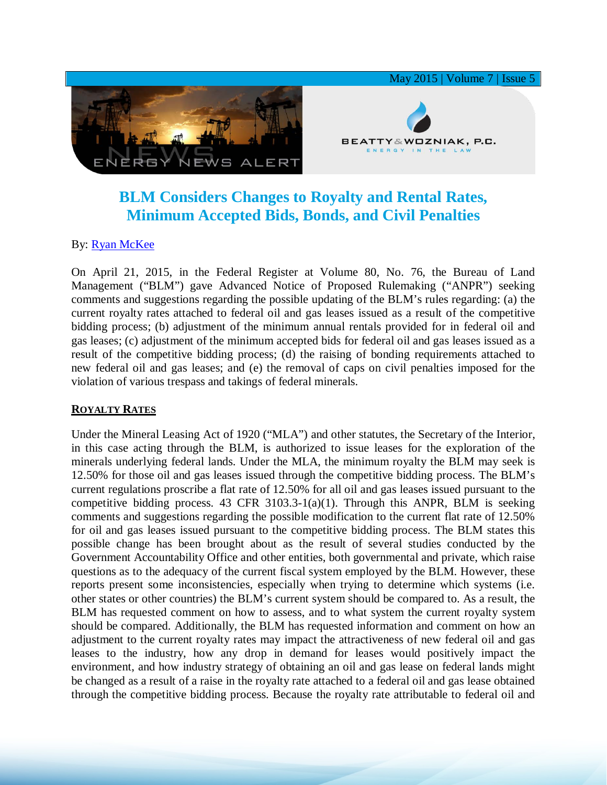

# **BLM Considers Changes to Royalty and Rental Rates, Minimum Accepted Bids, Bonds, and Civil Penalties**

## By: **[Ryan McKee](http://www.bwenergylaw.com/#!ryan-mckee/c16jc)**

On April 21, 2015, in the Federal Register at Volume 80, No. 76, the Bureau of Land Management ("BLM") gave Advanced Notice of Proposed Rulemaking ("ANPR") seeking comments and suggestions regarding the possible updating of the BLM's rules regarding: (a) the current royalty rates attached to federal oil and gas leases issued as a result of the competitive bidding process; (b) adjustment of the minimum annual rentals provided for in federal oil and gas leases; (c) adjustment of the minimum accepted bids for federal oil and gas leases issued as a result of the competitive bidding process; (d) the raising of bonding requirements attached to new federal oil and gas leases; and (e) the removal of caps on civil penalties imposed for the violation of various trespass and takings of federal minerals.

## **ROYALTY RATES**

Under the Mineral Leasing Act of 1920 ("MLA") and other statutes, the Secretary of the Interior, in this case acting through the BLM, is authorized to issue leases for the exploration of the minerals underlying federal lands. Under the MLA, the minimum royalty the BLM may seek is 12.50% for those oil and gas leases issued through the competitive bidding process. The BLM's current regulations proscribe a flat rate of 12.50% for all oil and gas leases issued pursuant to the competitive bidding process. 43 CFR 3103.3-1(a)(1). Through this ANPR, BLM is seeking comments and suggestions regarding the possible modification to the current flat rate of 12.50% for oil and gas leases issued pursuant to the competitive bidding process. The BLM states this possible change has been brought about as the result of several studies conducted by the Government Accountability Office and other entities, both governmental and private, which raise questions as to the adequacy of the current fiscal system employed by the BLM. However, these reports present some inconsistencies, especially when trying to determine which systems (i.e. other states or other countries) the BLM's current system should be compared to. As a result, the BLM has requested comment on how to assess, and to what system the current royalty system should be compared. Additionally, the BLM has requested information and comment on how an adjustment to the current royalty rates may impact the attractiveness of new federal oil and gas leases to the industry, how any drop in demand for leases would positively impact the environment, and how industry strategy of obtaining an oil and gas lease on federal lands might be changed as a result of a raise in the royalty rate attached to a federal oil and gas lease obtained through the competitive bidding process. Because the royalty rate attributable to federal oil and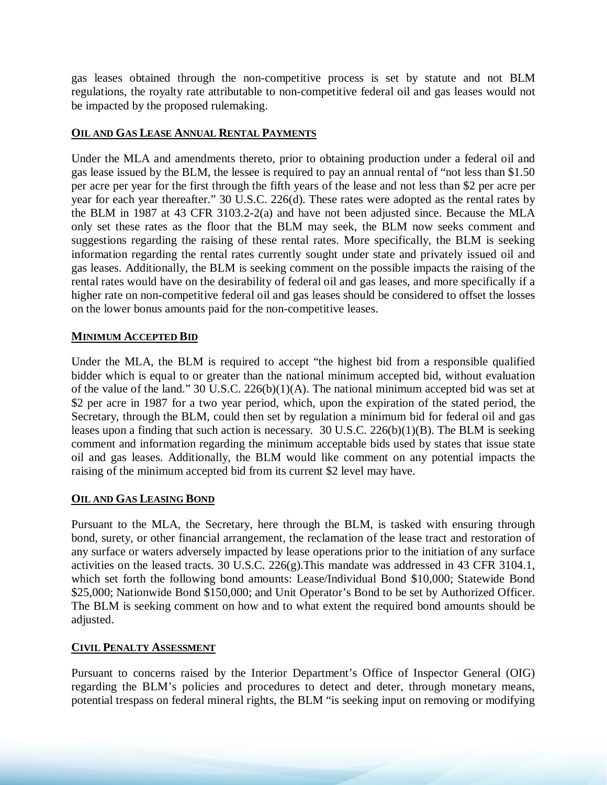gas leases obtained through the non-competitive process is set by statute and not BLM regulations, the royalty rate attributable to non-competitive federal oil and gas leases would not be impacted by the proposed rulemaking.

#### **OIL AND GAS LEASE ANNUAL RENTAL PAYMENTS**

Under the MLA and amendments thereto, prior to obtaining production under a federal oil and gas lease issued by the BLM, the lessee is required to pay an annual rental of "not less than \$1.50 per acre per year for the first through the fifth years of the lease and not less than \$2 per acre per year for each year thereafter." 30 U.S.C. 226(d). These rates were adopted as the rental rates by the BLM in 1987 at 43 CFR 3103.2-2(a) and have not been adjusted since. Because the MLA only set these rates as the floor that the BLM may seek, the BLM now seeks comment and suggestions regarding the raising of these rental rates. More specifically, the BLM is seeking information regarding the rental rates currently sought under state and privately issued oil and gas leases. Additionally, the BLM is seeking comment on the possible impacts the raising of the rental rates would have on the desirability of federal oil and gas leases, and more specifically if a higher rate on non-competitive federal oil and gas leases should be considered to offset the losses on the lower bonus amounts paid for the non-competitive leases.

### **MINIMUM ACCEPTED BID**

Under the MLA, the BLM is required to accept "the highest bid from a responsible qualified bidder which is equal to or greater than the national minimum accepted bid, without evaluation of the value of the land." 30 U.S.C. 226(b)(1)(A). The national minimum accepted bid was set at \$2 per acre in 1987 for a two year period, which, upon the expiration of the stated period, the Secretary, through the BLM, could then set by regulation a minimum bid for federal oil and gas leases upon a finding that such action is necessary. 30 U.S.C. 226(b)(1)(B). The BLM is seeking comment and information regarding the minimum acceptable bids used by states that issue state oil and gas leases. Additionally, the BLM would like comment on any potential impacts the raising of the minimum accepted bid from its current \$2 level may have.

## **OIL AND GAS LEASING BOND**

Pursuant to the MLA, the Secretary, here through the BLM, is tasked with ensuring through bond, surety, or other financial arrangement, the reclamation of the lease tract and restoration of any surface or waters adversely impacted by lease operations prior to the initiation of any surface activities on the leased tracts. 30 U.S.C. 226(g).This mandate was addressed in 43 CFR 3104.1, which set forth the following bond amounts: Lease/Individual Bond \$10,000; Statewide Bond \$25,000; Nationwide Bond \$150,000; and Unit Operator's Bond to be set by Authorized Officer. The BLM is seeking comment on how and to what extent the required bond amounts should be adjusted.

#### **CIVIL PENALTY ASSESSMENT**

Pursuant to concerns raised by the Interior Department's Office of Inspector General (OIG) regarding the BLM's policies and procedures to detect and deter, through monetary means, potential trespass on federal mineral rights, the BLM "is seeking input on removing or modifying